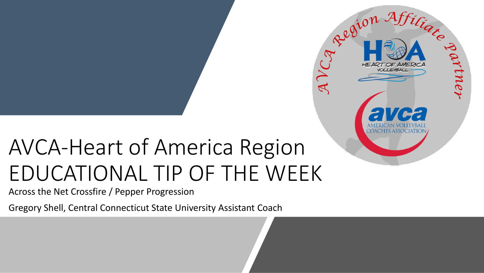## AVCA-Heart of America Region EDUCATIONAL TIP OF THE WEEK

Region Afficiation

AVCA

Across the Net Crossfire / Pepper Progression

Gregory Shell, Central Connecticut State University Assistant Coach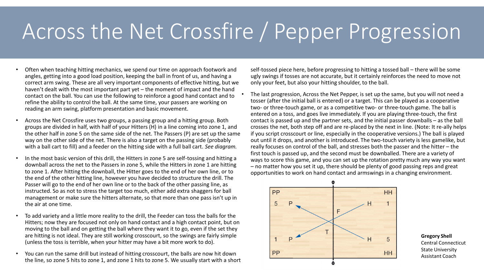## Across the Net Crossfire / Pepper Progression

- Often when teaching hitting mechanics, we spend our time on approach footwork and angles, getting into a good load position, keeping the ball in front of us, and having a correct arm swing. These are all very important components of effective hitting, but we haven't dealt with the most important part yet – the moment of impact and the hand contact on the ball. You can use the following to reinforce a good hand contact and to refine the ability to control the ball. At the same time, your passers are working on reading an arm swing, platform presentation and basic movement.
- Across the Net Crossfire uses two groups, a passing group and a hitting group. Both groups are divided in half, with half of your Hitters (H) in a line coming into zone 1, and the other half in zone 5 on the same side of the net. The Passers (P) are set up the same way on the other side of the net. There is also a target on the passing side (probably with a ball cart to fill) and a feeder on the hitting side with a full ball cart. *See diagram.*
- In the most basic version of this drill, the Hitters in zone 5 are self-tossing and hitting a downball across the net to the Passers in zone 5, while the Hitters in zone 1 are hitting to zone 1. After hitting the downball, the Hitter goes to the end of her own line, or to the end of the other hitting line, however you have decided to structure the drill. The Passer will go to the end of her own line or to the back of the other passing line, as instructed. So as not to stress the target too much, either add extra shaggers for ball management or make sure the hitters alternate, so that more than one pass isn't up in the air at one time.
- To add variety and a little more reality to the drill, the Feeder can toss the balls for the Hitters; now they are focused not only on hand contact and a high contact point, but on moving to the ball and on getting the ball where they want it to go, even if the set they are hitting is not ideal. They are still working crosscourt, so the swings are fairly simple (unless the toss is terrible, when your hitter may have a bit more work to do).
- You can run the same drill but instead of hitting crosscourt, the balls are now hit down the line, so zone 5 hits to zone 1, and zone 1 hits to zone 5. We usually start with a short

self-tossed piece here, before progressing to hitting a tossed ball – there will be some ugly swings if tosses are not accurate, but it certainly reinforces the need to move not only your feet, but also your hitting shoulder, to the ball.

• The last progression, Across the Net Pepper, is set up the same, but you will not need a tosser (after the initial ball is entered) or a target. This can be played as a cooperative two- or three-touch game, or as a competitive two- or three-touch game. The ball is entered on a toss, and goes live immediately. If you are playing three-touch, the first contact is passed up and the partner sets, and the initial passer downballs – as the ball crosses the net, both step off and are re-placed by the next in line. (Note: It re-ally helps if you script crosscourt or line, especially in the cooperative versions.) The ball is played out until it drops, and another is introduced. The two-touch variety is less gamelike, but really focuses on control of the ball, and stresses both the passer and the hitter – the first touch is passed up, and the second must be downballed. There are a variety of ways to score this game, and you can set up the rotation pretty much any way you want – no matter how you set it up, there should be plenty of good passing reps and great opportunities to work on hand contact and armswings in a changing environment.



**Gregory Shell** Central Connecticut State University Assistant Coach